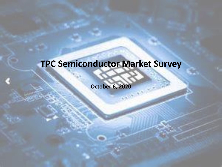## **TPC Semiconductor Market Survey**

**October 6, 2020**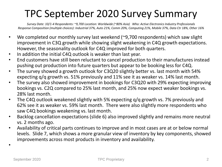### TPC September 2020 Survey Summary

*Survey Date: 10/1-4 Respondents: ~9,700 Location: Worldwide (~80% Asia) Who: Active Electronics Industry Professionals Response Composition (multiple choices): Industrial 37%, Auto 21%, Comm 20%, Computing 21%, Mobile 37%, Data Ctr 18%, Other 16%*

- We completed our monthly survey last weekend (~9,700 respondents) which saw slight improvement in C3Q growth while showing slight weakening in C4Q growth expectations. However, the seasonality outlook for C4Q improved for both quarters.
- In addition the initial C4Q outlook is weaker than last year.
- End customers have still been reluctant to cancel production to their manufactures instead pushing out production into future quarters but appear to be booking less for C4Q.
- The survey showed a growth outlook for C3Q20 slightly better vs. last month with 54% expecting q/q growth vs. 51% previously and 11% see it as weaker vs. 14% last month.
- The survey also showed improvement in bookings for C3Q20 with 29% expecting improving bookings vs. C2Q compared to 25% last month, and 25% now expect weaker bookings vs. 28% last month.
- The C4Q outlook weakened slightly with 5% expecting q/q growth vs. 7% previously and 62% see it as weaker vs. 59% last month. There were also slightly more respondents who saw C4Q bookings weakening vs. last month.
- Backlog cancellation expectations (slide 6) also improved slightly and remains more neutral vs. 2 months ago.
- Availability of critical parts continues to improve and in most cases are at or below normal levels. Slide 7, which shows a more granular view of inventory by key components, showed improvements across most products in inventory and availability. •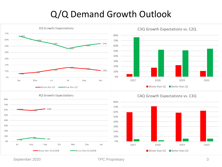#### Q/Q Demand Growth Outlook



September 2020 **TPC Proprietary** 3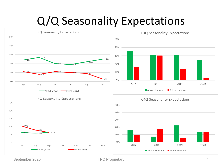## Q/Q Seasonality Expectations



September 2020 **TPC Proprietary TPC Proprietary** 4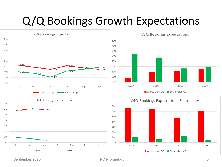## Q/Q Bookings Growth Expectations



September 2020 **TPC Proprietary** 5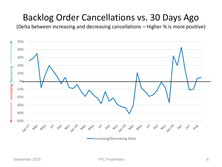#### Backlog Order Cancellations vs. 30 Days Ago

(Delta between increasing and decreasing cancellations – Higher % is more positive)

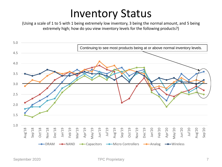## Inventory Status

(Using a scale of 1 to 5 with 1 being extremely low inventory, 3 being the normal amount, and 5 being extremely high; how do you view inventory levels for the following products?)

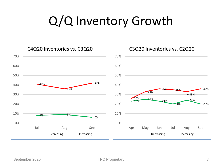# Q/Q Inventory Growth

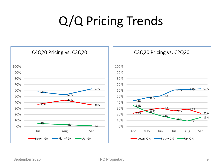# Q/Q Pricing Trends